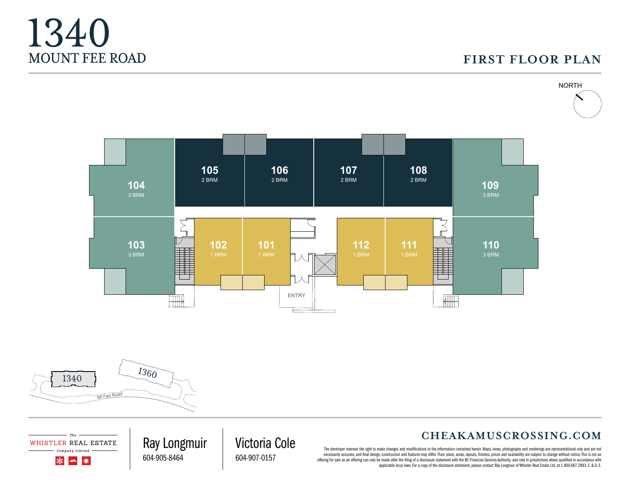# **FIRST FLOOR PLAN**









Ray Longmuir

604-905-8464

### **CHEAKAMUSCROSSING.COM**

The developer reserves the right to make changes and modifications to the information contained herein. Maps, views, photography and renderings are representational only and are not necessarily accurate, and final design, construction and features may differ. Floor plans, areas, layouts, finishes, prices and availability are subject to change without notice. This is not an offering for sale as an offering can only be made after the filing of a disclosure statement with the BC Financial Services Authority, and only in jurisdictions where qualified in accordance with applicable local laws. For a copy of the disclosure statement, please contact Ray Longmuir of Whistler Real Estate Ltd. at 1.800.667.2993. E. & O. E.

Victoria Cole 604-907-0157

WHISTLER REAL ESTATE Company Limited 灤  $\rightarrow$ ▓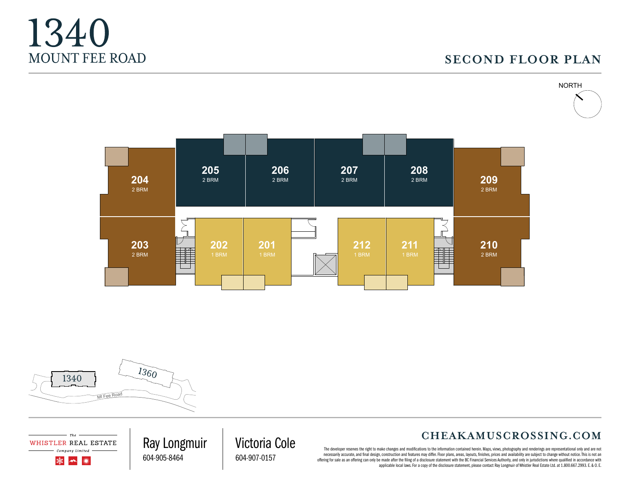# **SECOND FLOOR PLAN**









WHISTLER REAL ESTATE Company Limited

> 灤  $\rightarrow$ ▓

604-905-8464

## **CHEAKAMUSCROSSING.COM**

The developer reserves the right to make changes and modifications to the information contained herein. Maps, views, photography and renderings are representational only and are not necessarily accurate, and final design, construction and features may differ. Floor plans, areas, layouts, finishes, prices and availability are subject to change without notice. This is not an offering for sale as an offering can only be made after the filing of a disclosure statement with the BC Financial Services Authority, and only in jurisdictions where qualified in accordance with applicable local laws. For a copy of the disclosure statement, please contact Ray Longmuir of Whistler Real Estate Ltd. at 1.800.667.2993. E. & O. E.

Ray Longmuir Victoria Cole 604-907-0157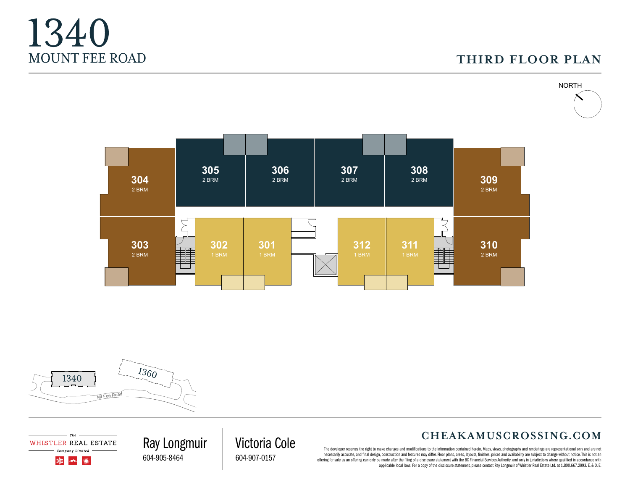## **THIRD FLOOR PLAN**









WHISTLER REAL ESTATE Company Limited

> 灤  $\rightarrow$ ▓

604-905-8464

### **CHEAKAMUSCROSSING.COM**

The developer reserves the right to make changes and modifications to the information contained herein. Maps, views, photography and renderings are representational only and are not necessarily accurate, and final design, construction and features may differ. Floor plans, areas, layouts, finishes, prices and availability are subject to change without notice. This is not an offering for sale as an offering can only be made after the filing of a disclosure statement with the BC Financial Services Authority, and only in jurisdictions where qualified in accordance with applicable local laws. For a copy of the disclosure statement, please contact Ray Longmuir of Whistler Real Estate Ltd. at 1.800.667.2993. E. & O. E.

Ray Longmuir Victoria Cole 604-907-0157